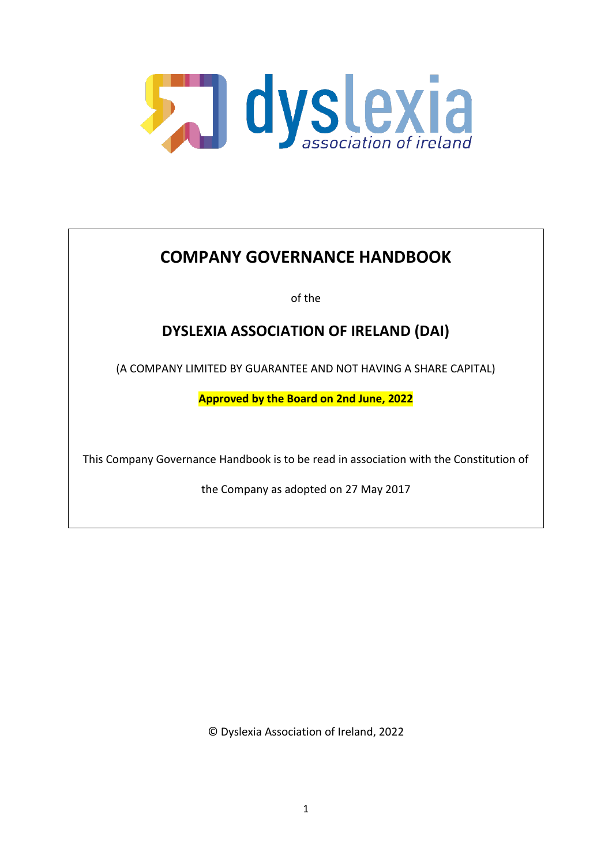

# **COMPANY GOVERNANCE HANDBOOK**

of the

# **DYSLEXIA ASSOCIATION OF IRELAND (DAI)**

(A COMPANY LIMITED BY GUARANTEE AND NOT HAVING A SHARE CAPITAL)

**Approved by the Board on 2nd June, 2022**

This Company Governance Handbook is to be read in association with the Constitution of

the Company as adopted on 27 May 2017

© Dyslexia Association of Ireland, 2022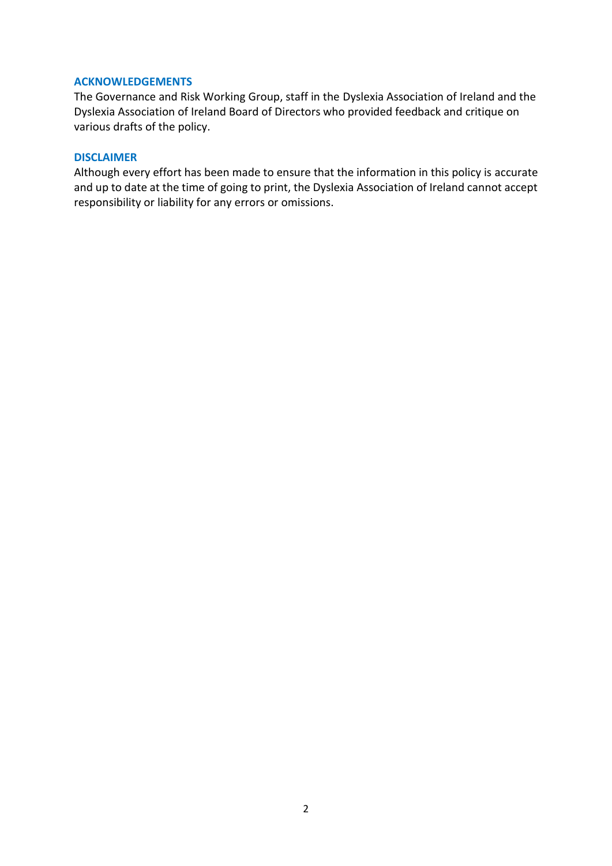# **ACKNOWLEDGEMENTS**

The Governance and Risk Working Group, staff in the Dyslexia Association of Ireland and the Dyslexia Association of Ireland Board of Directors who provided feedback and critique on various drafts of the policy.

#### **DISCLAIMER**

Although every effort has been made to ensure that the information in this policy is accurate and up to date at the time of going to print, the Dyslexia Association of Ireland cannot accept responsibility or liability for any errors or omissions.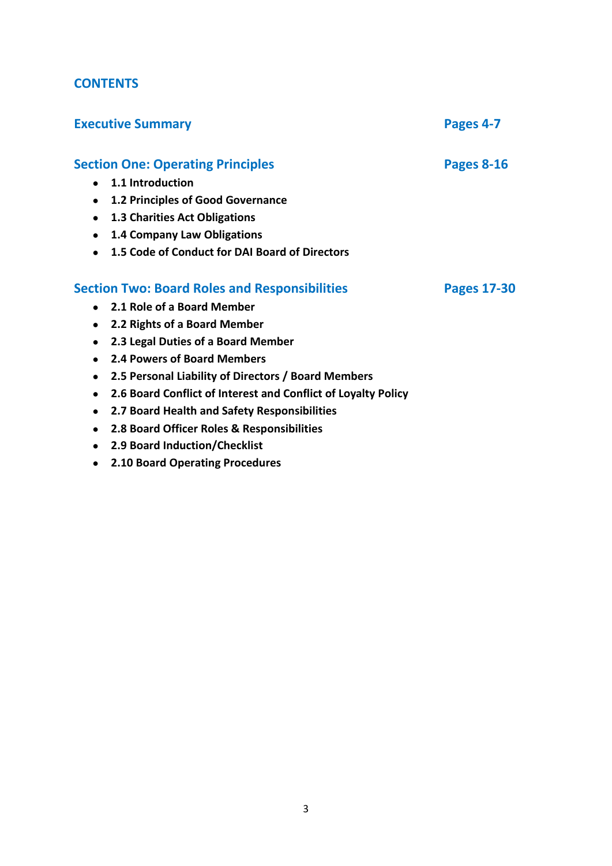# **CONTENTS**

| <b>Executive Summary</b>                                                   | Pages 4-7          |
|----------------------------------------------------------------------------|--------------------|
| <b>Section One: Operating Principles</b>                                   | <b>Pages 8-16</b>  |
| 1.1 Introduction<br>$\bullet$                                              |                    |
| 1.2 Principles of Good Governance<br>$\bullet$                             |                    |
| <b>1.3 Charities Act Obligations</b><br>$\bullet$                          |                    |
| 1.4 Company Law Obligations<br>$\bullet$                                   |                    |
| 1.5 Code of Conduct for DAI Board of Directors<br>$\bullet$                |                    |
| <b>Section Two: Board Roles and Responsibilities</b>                       | <b>Pages 17-30</b> |
| • 2.1 Role of a Board Member                                               |                    |
| 2.2 Rights of a Board Member<br>$\bullet$                                  |                    |
| 2.3 Legal Duties of a Board Member<br>$\bullet$                            |                    |
| 2.4 Powers of Board Members<br>$\bullet$                                   |                    |
| 2.5 Personal Liability of Directors / Board Members<br>$\bullet$           |                    |
| 2.6 Board Conflict of Interest and Conflict of Loyalty Policy<br>$\bullet$ |                    |
| 2.7 Board Health and Safety Responsibilities<br>$\bullet$                  |                    |
| 2.8 Board Officer Roles & Responsibilities                                 |                    |
|                                                                            |                    |

- **2.9 Board Induction/Checklist**
- **2.10 Board Operating Procedures**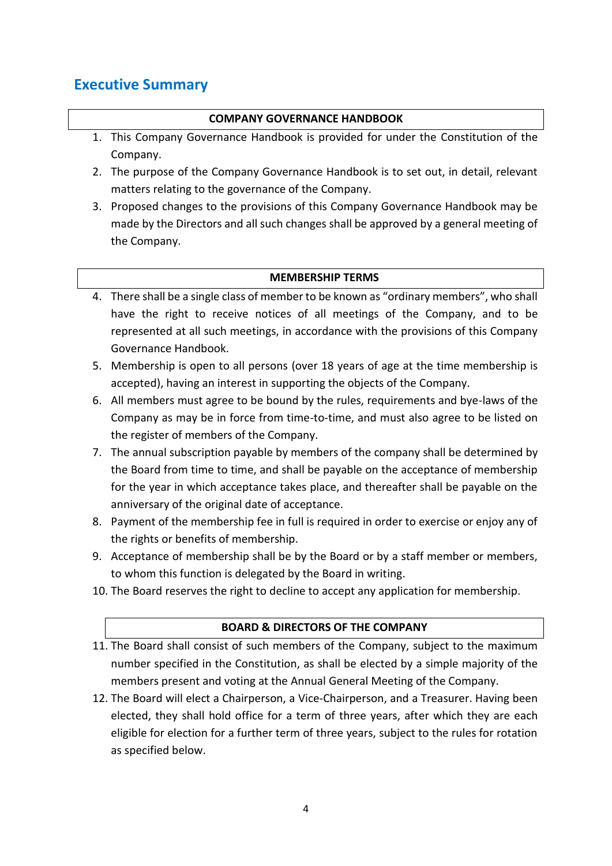# **Executive Summary**

# **COMPANY GOVERNANCE HANDBOOK**

- 1. This Company Governance Handbook is provided for under the Constitution of the Company.
- 2. The purpose of the Company Governance Handbook is to set out, in detail, relevant matters relating to the governance of the Company.
- 3. Proposed changes to the provisions of this Company Governance Handbook may be made by the Directors and all such changes shall be approved by a general meeting of the Company.

### **MEMBERSHIP TERMS**

- 4. There shall be a single class of member to be known as "ordinary members", who shall have the right to receive notices of all meetings of the Company, and to be represented at all such meetings, in accordance with the provisions of this Company Governance Handbook.
- 5. Membership is open to all persons (over 18 years of age at the time membership is accepted), having an interest in supporting the objects of the Company.
- 6. All members must agree to be bound by the rules, requirements and bye-laws of the Company as may be in force from time-to-time, and must also agree to be listed on the register of members of the Company.
- 7. The annual subscription payable by members of the company shall be determined by the Board from time to time, and shall be payable on the acceptance of membership for the year in which acceptance takes place, and thereafter shall be payable on the anniversary of the original date of acceptance.
- 8. Payment of the membership fee in full is required in order to exercise or enjoy any of the rights or benefits of membership.
- 9. Acceptance of membership shall be by the Board or by a staff member or members, to whom this function is delegated by the Board in writing.
- 10. The Board reserves the right to decline to accept any application for membership.

#### **BOARD & DIRECTORS OF THE COMPANY**

- 11. The Board shall consist of such members of the Company, subject to the maximum number specified in the Constitution, as shall be elected by a simple majority of the members present and voting at the Annual General Meeting of the Company.
- 12. The Board will elect a Chairperson, a Vice-Chairperson, and a Treasurer. Having been elected, they shall hold office for a term of three years, after which they are each eligible for election for a further term of three years, subject to the rules for rotation as specified below.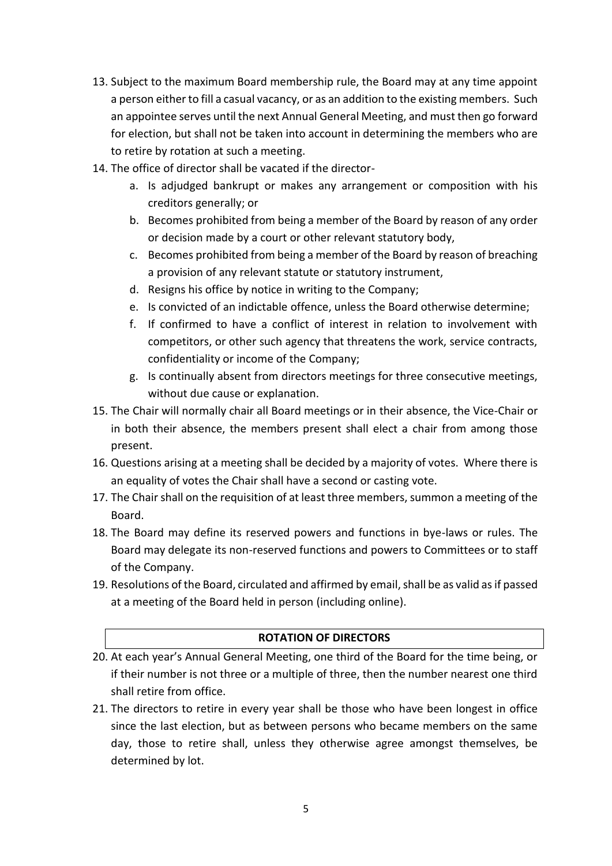- 13. Subject to the maximum Board membership rule, the Board may at any time appoint a person either to fill a casual vacancy, or as an addition to the existing members. Such an appointee serves until the next Annual General Meeting, and must then go forward for election, but shall not be taken into account in determining the members who are to retire by rotation at such a meeting.
- 14. The office of director shall be vacated if the director
	- a. Is adjudged bankrupt or makes any arrangement or composition with his creditors generally; or
	- b. Becomes prohibited from being a member of the Board by reason of any order or decision made by a court or other relevant statutory body,
	- c. Becomes prohibited from being a member of the Board by reason of breaching a provision of any relevant statute or statutory instrument,
	- d. Resigns his office by notice in writing to the Company;
	- e. Is convicted of an indictable offence, unless the Board otherwise determine;
	- f. If confirmed to have a conflict of interest in relation to involvement with competitors, or other such agency that threatens the work, service contracts, confidentiality or income of the Company;
	- g. Is continually absent from directors meetings for three consecutive meetings, without due cause or explanation.
- 15. The Chair will normally chair all Board meetings or in their absence, the Vice-Chair or in both their absence, the members present shall elect a chair from among those present.
- 16. Questions arising at a meeting shall be decided by a majority of votes. Where there is an equality of votes the Chair shall have a second or casting vote.
- 17. The Chair shall on the requisition of at least three members, summon a meeting of the Board.
- 18. The Board may define its reserved powers and functions in bye-laws or rules. The Board may delegate its non-reserved functions and powers to Committees or to staff of the Company.
- 19. Resolutions of the Board, circulated and affirmed by email, shall be as valid as if passed at a meeting of the Board held in person (including online).

# **ROTATION OF DIRECTORS**

- 20. At each year's Annual General Meeting, one third of the Board for the time being, or if their number is not three or a multiple of three, then the number nearest one third shall retire from office.
- 21. The directors to retire in every year shall be those who have been longest in office since the last election, but as between persons who became members on the same day, those to retire shall, unless they otherwise agree amongst themselves, be determined by lot.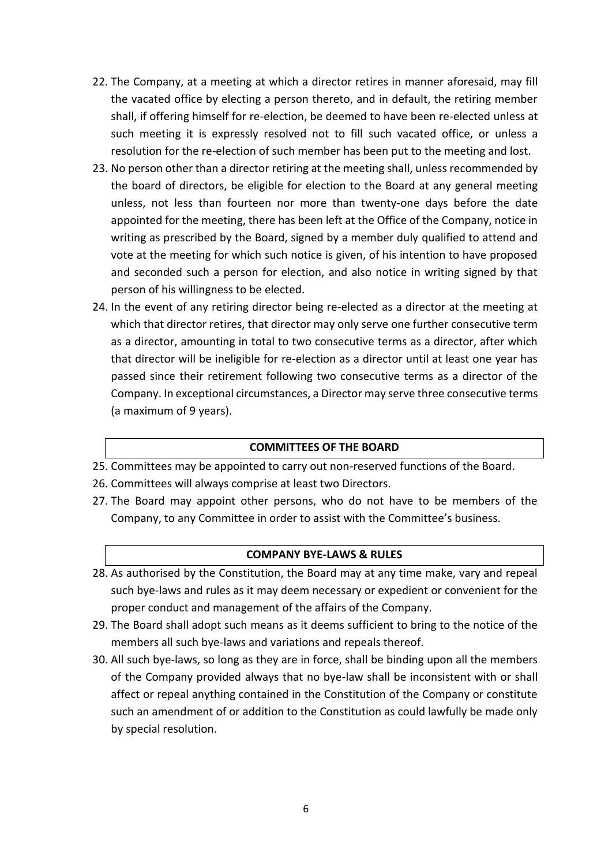- 22. The Company, at a meeting at which a director retires in manner aforesaid, may fill the vacated office by electing a person thereto, and in default, the retiring member shall, if offering himself for re-election, be deemed to have been re-elected unless at such meeting it is expressly resolved not to fill such vacated office, or unless a resolution for the re-election of such member has been put to the meeting and lost.
- 23. No person other than a director retiring at the meeting shall, unless recommended by the board of directors, be eligible for election to the Board at any general meeting unless, not less than fourteen nor more than twenty-one days before the date appointed for the meeting, there has been left at the Office of the Company, notice in writing as prescribed by the Board, signed by a member duly qualified to attend and vote at the meeting for which such notice is given, of his intention to have proposed and seconded such a person for election, and also notice in writing signed by that person of his willingness to be elected.
- 24. In the event of any retiring director being re-elected as a director at the meeting at which that director retires, that director may only serve one further consecutive term as a director, amounting in total to two consecutive terms as a director, after which that director will be ineligible for re-election as a director until at least one year has passed since their retirement following two consecutive terms as a director of the Company. In exceptional circumstances, a Director may serve three consecutive terms (a maximum of 9 years).

#### **COMMITTEES OF THE BOARD**

- 25. Committees may be appointed to carry out non-reserved functions of the Board.
- 26. Committees will always comprise at least two Directors.
- 27. The Board may appoint other persons, who do not have to be members of the Company, to any Committee in order to assist with the Committee's business.

#### **COMPANY BYE-LAWS & RULES**

- 28. As authorised by the Constitution, the Board may at any time make, vary and repeal such bye-laws and rules as it may deem necessary or expedient or convenient for the proper conduct and management of the affairs of the Company.
- 29. The Board shall adopt such means as it deems sufficient to bring to the notice of the members all such bye-laws and variations and repeals thereof.
- 30. All such bye-laws, so long as they are in force, shall be binding upon all the members of the Company provided always that no bye-law shall be inconsistent with or shall affect or repeal anything contained in the Constitution of the Company or constitute such an amendment of or addition to the Constitution as could lawfully be made only by special resolution.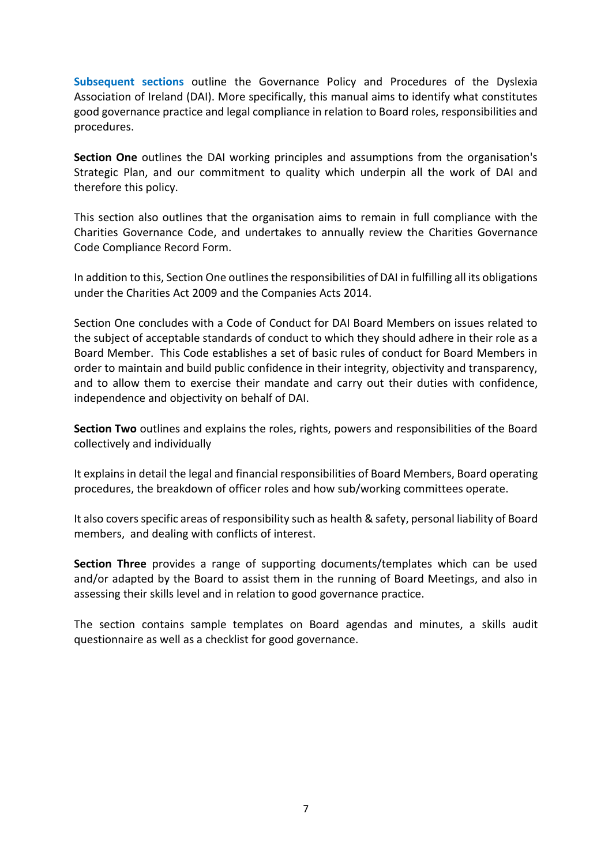**Subsequent sections** outline the Governance Policy and Procedures of the Dyslexia Association of Ireland (DAI). More specifically, this manual aims to identify what constitutes good governance practice and legal compliance in relation to Board roles, responsibilities and procedures.

**Section One** outlines the DAI working principles and assumptions from the organisation's Strategic Plan, and our commitment to quality which underpin all the work of DAI and therefore this policy.

This section also outlines that the organisation aims to remain in full compliance with the Charities Governance Code, and undertakes to annually review the Charities Governance Code Compliance Record Form.

In addition to this, Section One outlines the responsibilities of DAI in fulfilling all its obligations under the Charities Act 2009 and the Companies Acts 2014.

Section One concludes with a Code of Conduct for DAI Board Members on issues related to the subject of acceptable standards of conduct to which they should adhere in their role as a Board Member. This Code establishes a set of basic rules of conduct for Board Members in order to maintain and build public confidence in their integrity, objectivity and transparency, and to allow them to exercise their mandate and carry out their duties with confidence, independence and objectivity on behalf of DAI.

**Section Two** outlines and explains the roles, rights, powers and responsibilities of the Board collectively and individually

It explains in detail the legal and financial responsibilities of Board Members, Board operating procedures, the breakdown of officer roles and how sub/working committees operate.

It also covers specific areas of responsibility such as health & safety, personal liability of Board members, and dealing with conflicts of interest.

**Section Three** provides a range of supporting documents/templates which can be used and/or adapted by the Board to assist them in the running of Board Meetings, and also in assessing their skills level and in relation to good governance practice.

The section contains sample templates on Board agendas and minutes, a skills audit questionnaire as well as a checklist for good governance.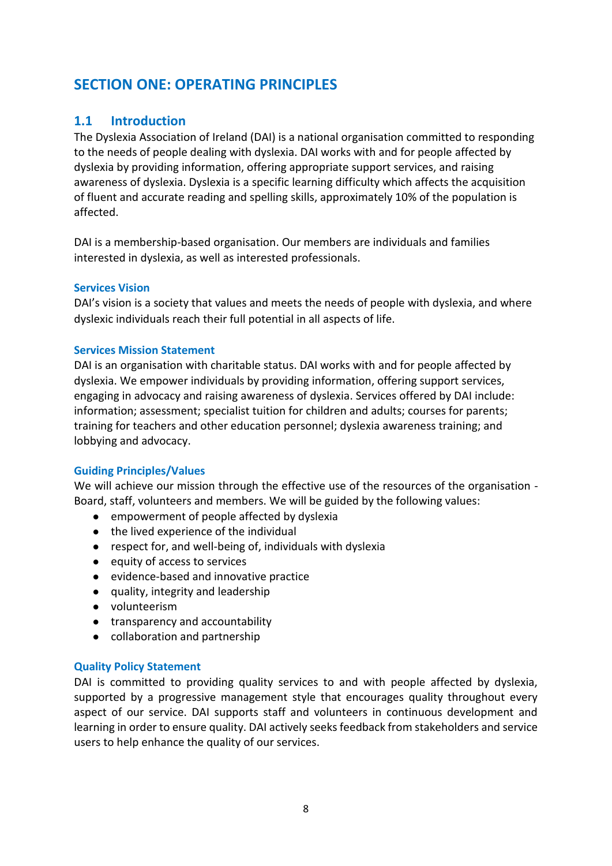# **SECTION ONE: OPERATING PRINCIPLES**

# **1.1 Introduction**

The Dyslexia Association of Ireland (DAI) is a national organisation committed to responding to the needs of people dealing with dyslexia. DAI works with and for people affected by dyslexia by providing information, offering appropriate support services, and raising awareness of dyslexia. Dyslexia is a specific learning difficulty which affects the acquisition of fluent and accurate reading and spelling skills, approximately 10% of the population is affected.

DAI is a membership-based organisation. Our members are individuals and families interested in dyslexia, as well as interested professionals.

#### **Services Vision**

DAI's vision is a society that values and meets the needs of people with dyslexia, and where dyslexic individuals reach their full potential in all aspects of life.

#### **Services Mission Statement**

DAI is an organisation with charitable status. DAI works with and for people affected by dyslexia. We empower individuals by providing information, offering support services, engaging in advocacy and raising awareness of dyslexia. Services offered by DAI include: information; assessment; specialist tuition for children and adults; courses for parents; training for teachers and other education personnel; dyslexia awareness training; and lobbying and advocacy.

#### **Guiding Principles/Values**

We will achieve our mission through the effective use of the resources of the organisation -Board, staff, volunteers and members. We will be guided by the following values:

- empowerment of people affected by dyslexia
- the lived experience of the individual
- respect for, and well-being of, individuals with dyslexia
- equity of access to services
- evidence-based and innovative practice
- quality, integrity and leadership
- volunteerism
- transparency and accountability
- collaboration and partnership

#### **Quality Policy Statement**

DAI is committed to providing quality services to and with people affected by dyslexia, supported by a progressive management style that encourages quality throughout every aspect of our service. DAI supports staff and volunteers in continuous development and learning in order to ensure quality. DAI actively seeks feedback from stakeholders and service users to help enhance the quality of our services.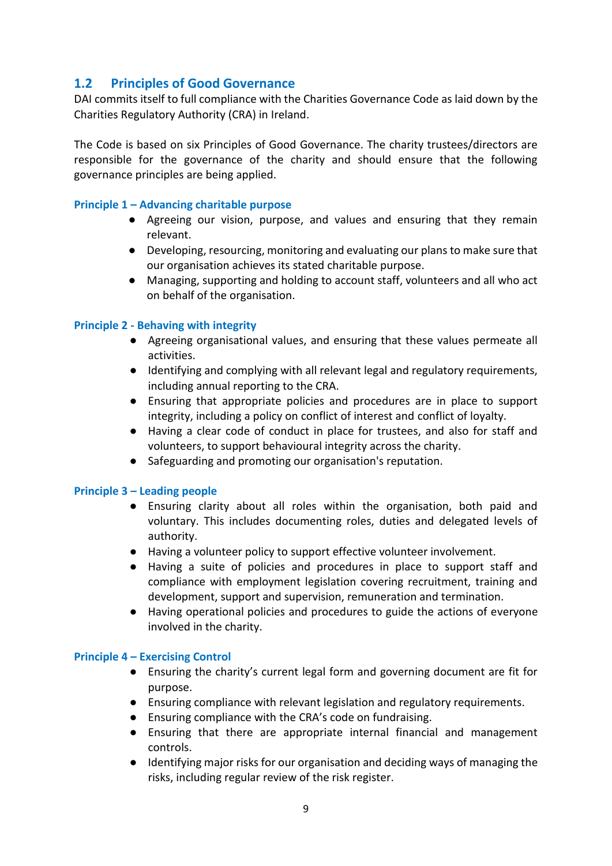# **1.2 Principles of Good Governance**

DAI commits itself to full compliance with the Charities Governance Code as laid down by the Charities Regulatory Authority (CRA) in Ireland.

The Code is based on six Principles of Good Governance. The charity trustees/directors are responsible for the governance of the charity and should ensure that the following governance principles are being applied.

### **Principle 1 – Advancing charitable purpose**

- Agreeing our vision, purpose, and values and ensuring that they remain relevant.
- Developing, resourcing, monitoring and evaluating our plans to make sure that our organisation achieves its stated charitable purpose.
- Managing, supporting and holding to account staff, volunteers and all who act on behalf of the organisation.

### **Principle 2 - Behaving with integrity**

- Agreeing organisational values, and ensuring that these values permeate all activities.
- Identifying and complying with all relevant legal and regulatory requirements, including annual reporting to the CRA.
- Ensuring that appropriate policies and procedures are in place to support integrity, including a policy on conflict of interest and conflict of loyalty.
- Having a clear code of conduct in place for trustees, and also for staff and volunteers, to support behavioural integrity across the charity.
- Safeguarding and promoting our organisation's reputation.

#### **Principle 3 – Leading people**

- Ensuring clarity about all roles within the organisation, both paid and voluntary. This includes documenting roles, duties and delegated levels of authority.
- Having a volunteer policy to support effective volunteer involvement.
- Having a suite of policies and procedures in place to support staff and compliance with employment legislation covering recruitment, training and development, support and supervision, remuneration and termination.
- Having operational policies and procedures to guide the actions of everyone involved in the charity.

#### **Principle 4 – Exercising Control**

- Ensuring the charity's current legal form and governing document are fit for purpose.
- Ensuring compliance with relevant legislation and regulatory requirements.
- Ensuring compliance with the CRA's code on fundraising.
- Ensuring that there are appropriate internal financial and management controls.
- Identifying major risks for our organisation and deciding ways of managing the risks, including regular review of the risk register.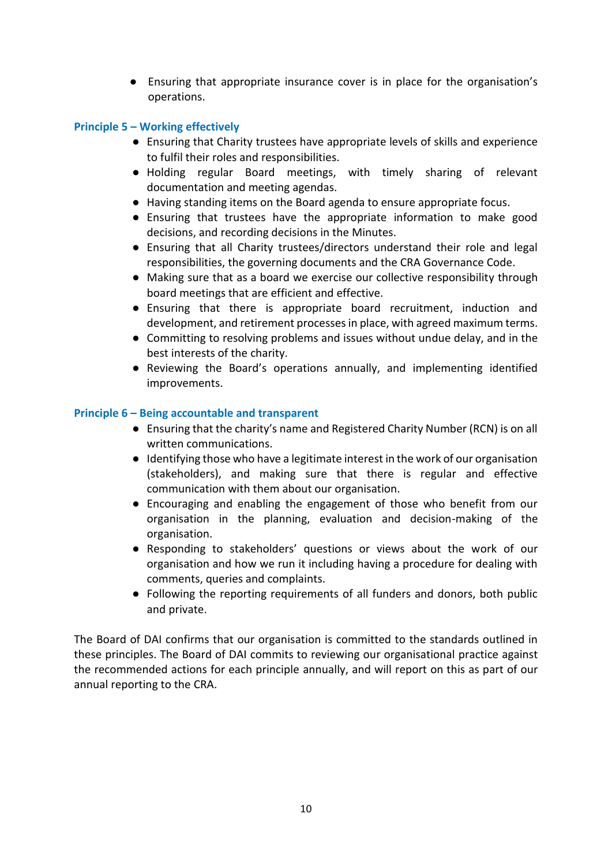● Ensuring that appropriate insurance cover is in place for the organisation's operations.

### **Principle 5 – Working effectively**

- Ensuring that Charity trustees have appropriate levels of skills and experience to fulfil their roles and responsibilities.
- Holding regular Board meetings, with timely sharing of relevant documentation and meeting agendas.
- Having standing items on the Board agenda to ensure appropriate focus.
- Ensuring that trustees have the appropriate information to make good decisions, and recording decisions in the Minutes.
- Ensuring that all Charity trustees/directors understand their role and legal responsibilities, the governing documents and the CRA Governance Code.
- Making sure that as a board we exercise our collective responsibility through board meetings that are efficient and effective.
- Ensuring that there is appropriate board recruitment, induction and development, and retirement processes in place, with agreed maximum terms.
- Committing to resolving problems and issues without undue delay, and in the best interests of the charity.
- Reviewing the Board's operations annually, and implementing identified improvements.

### **Principle 6 – Being accountable and transparent**

- Ensuring that the charity's name and Registered Charity Number (RCN) is on all written communications.
- Identifying those who have a legitimate interest in the work of our organisation (stakeholders), and making sure that there is regular and effective communication with them about our organisation.
- Encouraging and enabling the engagement of those who benefit from our organisation in the planning, evaluation and decision-making of the organisation.
- Responding to stakeholders' questions or views about the work of our organisation and how we run it including having a procedure for dealing with comments, queries and complaints.
- Following the reporting requirements of all funders and donors, both public and private.

The Board of DAI confirms that our organisation is committed to the standards outlined in these principles. The Board of DAI commits to reviewing our organisational practice against the recommended actions for each principle annually, and will report on this as part of our annual reporting to the CRA.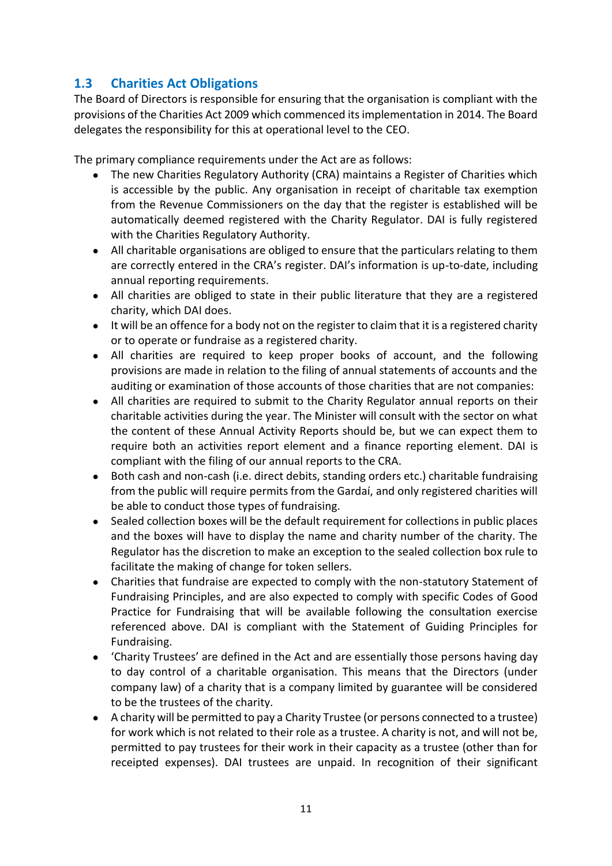# **1.3 Charities Act Obligations**

The Board of Directors is responsible for ensuring that the organisation is compliant with the provisions of the Charities Act 2009 which commenced its implementation in 2014. The Board delegates the responsibility for this at operational level to the CEO.

The primary compliance requirements under the Act are as follows:

- The new Charities Regulatory Authority (CRA) maintains a Register of Charities which is accessible by the public. Any organisation in receipt of charitable tax exemption from the Revenue Commissioners on the day that the register is established will be automatically deemed registered with the Charity Regulator. DAI is fully registered with the Charities Regulatory Authority.
- All charitable organisations are obliged to ensure that the particulars relating to them are correctly entered in the CRA's register. DAI's information is up-to-date, including annual reporting requirements.
- All charities are obliged to state in their public literature that they are a registered charity, which DAI does.
- It will be an offence for a body not on the register to claim that it is a registered charity or to operate or fundraise as a registered charity.
- All charities are required to keep proper books of account, and the following provisions are made in relation to the filing of annual statements of accounts and the auditing or examination of those accounts of those charities that are not companies:
- All charities are required to submit to the Charity Regulator annual reports on their charitable activities during the year. The Minister will consult with the sector on what the content of these Annual Activity Reports should be, but we can expect them to require both an activities report element and a finance reporting element. DAI is compliant with the filing of our annual reports to the CRA.
- Both cash and non-cash (i.e. direct debits, standing orders etc.) charitable fundraising from the public will require permits from the Gardaí, and only registered charities will be able to conduct those types of fundraising.
- Sealed collection boxes will be the default requirement for collections in public places and the boxes will have to display the name and charity number of the charity. The Regulator has the discretion to make an exception to the sealed collection box rule to facilitate the making of change for token sellers.
- Charities that fundraise are expected to comply with the non-statutory Statement of Fundraising Principles, and are also expected to comply with specific Codes of Good Practice for Fundraising that will be available following the consultation exercise referenced above. DAI is compliant with the Statement of Guiding Principles for Fundraising.
- 'Charity Trustees' are defined in the Act and are essentially those persons having day to day control of a charitable organisation. This means that the Directors (under company law) of a charity that is a company limited by guarantee will be considered to be the trustees of the charity.
- A charity will be permitted to pay a Charity Trustee (or persons connected to a trustee) for work which is not related to their role as a trustee. A charity is not, and will not be, permitted to pay trustees for their work in their capacity as a trustee (other than for receipted expenses). DAI trustees are unpaid. In recognition of their significant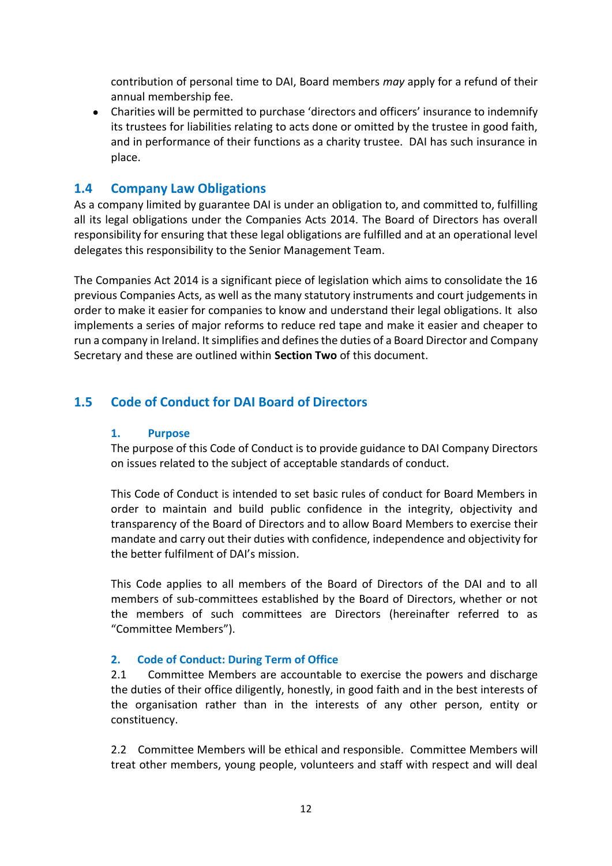contribution of personal time to DAI, Board members *may* apply for a refund of their annual membership fee.

● Charities will be permitted to purchase 'directors and officers' insurance to indemnify its trustees for liabilities relating to acts done or omitted by the trustee in good faith, and in performance of their functions as a charity trustee. DAI has such insurance in place.

# **1.4 Company Law Obligations**

As a company limited by guarantee DAI is under an obligation to, and committed to, fulfilling all its legal obligations under the Companies Acts 2014. The Board of Directors has overall responsibility for ensuring that these legal obligations are fulfilled and at an operational level delegates this responsibility to the Senior Management Team.

The Companies Act 2014 is a significant piece of legislation which aims to consolidate the 16 previous Companies Acts, as well as the many statutory instruments and court judgements in order to make it easier for companies to know and understand their legal obligations. It also implements a series of major reforms to reduce red tape and make it easier and cheaper to run a company in Ireland. It simplifies and defines the duties of a Board Director and Company Secretary and these are outlined within **Section Two** of this document.

# **1.5 Code of Conduct for DAI Board of Directors**

# **1. Purpose**

The purpose of this Code of Conduct is to provide guidance to DAI Company Directors on issues related to the subject of acceptable standards of conduct.

This Code of Conduct is intended to set basic rules of conduct for Board Members in order to maintain and build public confidence in the integrity, objectivity and transparency of the Board of Directors and to allow Board Members to exercise their mandate and carry out their duties with confidence, independence and objectivity for the better fulfilment of DAI's mission.

This Code applies to all members of the Board of Directors of the DAI and to all members of sub-committees established by the Board of Directors, whether or not the members of such committees are Directors (hereinafter referred to as "Committee Members").

# **2. Code of Conduct: During Term of Office**

2.1 Committee Members are accountable to exercise the powers and discharge the duties of their office diligently, honestly, in good faith and in the best interests of the organisation rather than in the interests of any other person, entity or constituency.

2.2 Committee Members will be ethical and responsible. Committee Members will treat other members, young people, volunteers and staff with respect and will deal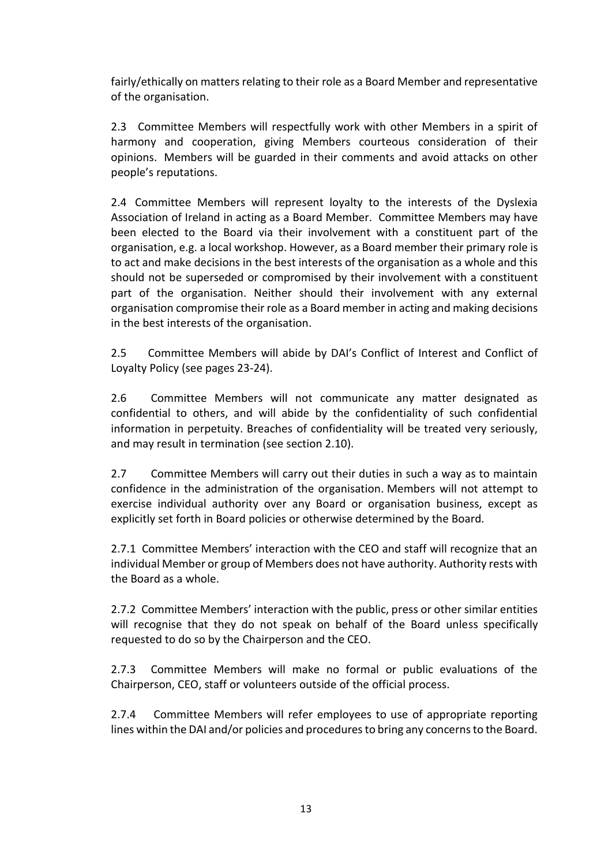fairly/ethically on matters relating to their role as a Board Member and representative of the organisation.

2.3 Committee Members will respectfully work with other Members in a spirit of harmony and cooperation, giving Members courteous consideration of their opinions. Members will be guarded in their comments and avoid attacks on other people's reputations.

2.4 Committee Members will represent loyalty to the interests of the Dyslexia Association of Ireland in acting as a Board Member. Committee Members may have been elected to the Board via their involvement with a constituent part of the organisation, e.g. a local workshop. However, as a Board member their primary role is to act and make decisions in the best interests of the organisation as a whole and this should not be superseded or compromised by their involvement with a constituent part of the organisation. Neither should their involvement with any external organisation compromise their role as a Board member in acting and making decisions in the best interests of the organisation.

2.5 Committee Members will abide by DAI's Conflict of Interest and Conflict of Loyalty Policy (see pages 23-24).

2.6 Committee Members will not communicate any matter designated as confidential to others, and will abide by the confidentiality of such confidential information in perpetuity. Breaches of confidentiality will be treated very seriously, and may result in termination (see section 2.10).

2.7 Committee Members will carry out their duties in such a way as to maintain confidence in the administration of the organisation. Members will not attempt to exercise individual authority over any Board or organisation business, except as explicitly set forth in Board policies or otherwise determined by the Board.

2.7.1 Committee Members' interaction with the CEO and staff will recognize that an individual Member or group of Members does not have authority. Authority rests with the Board as a whole.

2.7.2 Committee Members' interaction with the public, press or other similar entities will recognise that they do not speak on behalf of the Board unless specifically requested to do so by the Chairperson and the CEO.

2.7.3 Committee Members will make no formal or public evaluations of the Chairperson, CEO, staff or volunteers outside of the official process.

2.7.4 Committee Members will refer employees to use of appropriate reporting lines within the DAI and/or policies and procedures to bring any concerns to the Board.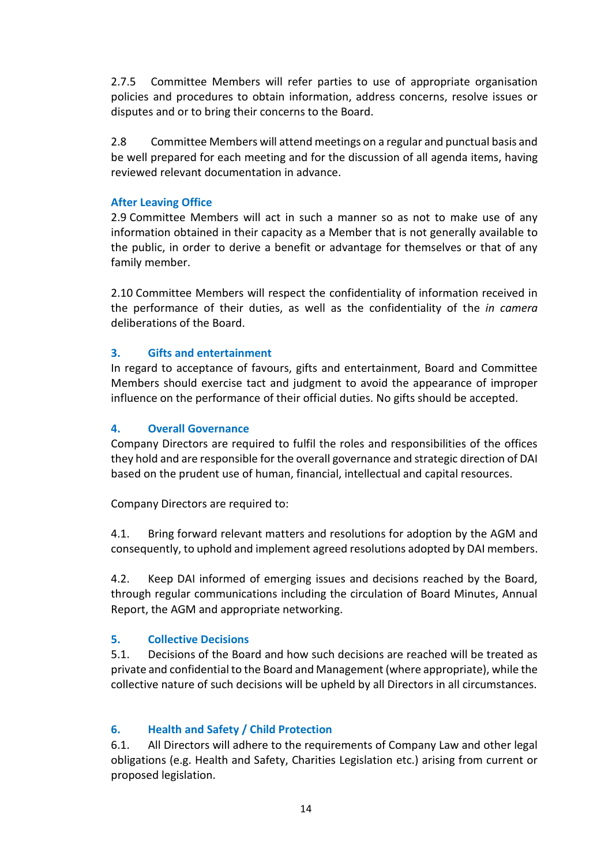2.7.5 Committee Members will refer parties to use of appropriate organisation policies and procedures to obtain information, address concerns, resolve issues or disputes and or to bring their concerns to the Board.

2.8 Committee Members will attend meetings on a regular and punctual basis and be well prepared for each meeting and for the discussion of all agenda items, having reviewed relevant documentation in advance.

### **After Leaving Office**

2.9 Committee Members will act in such a manner so as not to make use of any information obtained in their capacity as a Member that is not generally available to the public, in order to derive a benefit or advantage for themselves or that of any family member.

2.10 Committee Members will respect the confidentiality of information received in the performance of their duties, as well as the confidentiality of the *in camera* deliberations of the Board.

# **3. Gifts and entertainment**

In regard to acceptance of favours, gifts and entertainment, Board and Committee Members should exercise tact and judgment to avoid the appearance of improper influence on the performance of their official duties. No gifts should be accepted.

### **4. Overall Governance**

Company Directors are required to fulfil the roles and responsibilities of the offices they hold and are responsible for the overall governance and strategic direction of DAI based on the prudent use of human, financial, intellectual and capital resources.

Company Directors are required to:

4.1. Bring forward relevant matters and resolutions for adoption by the AGM and consequently, to uphold and implement agreed resolutions adopted by DAI members.

4.2. Keep DAI informed of emerging issues and decisions reached by the Board, through regular communications including the circulation of Board Minutes, Annual Report, the AGM and appropriate networking.

# **5. Collective Decisions**

5.1. Decisions of the Board and how such decisions are reached will be treated as private and confidential to the Board and Management (where appropriate), while the collective nature of such decisions will be upheld by all Directors in all circumstances.

# **6. Health and Safety / Child Protection**

6.1. All Directors will adhere to the requirements of Company Law and other legal obligations (e.g. Health and Safety, Charities Legislation etc.) arising from current or proposed legislation.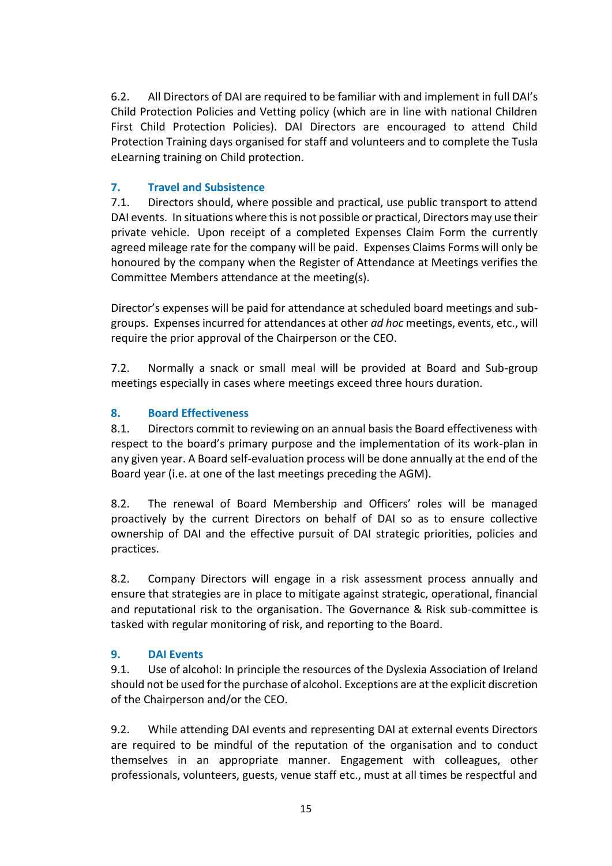6.2. All Directors of DAI are required to be familiar with and implement in full DAI's Child Protection Policies and Vetting policy (which are in line with national Children First Child Protection Policies). DAI Directors are encouraged to attend Child Protection Training days organised for staff and volunteers and to complete the Tusla eLearning training on Child protection.

# **7. Travel and Subsistence**

7.1. Directors should, where possible and practical, use public transport to attend DAI events. In situations where this is not possible or practical, Directors may use their private vehicle. Upon receipt of a completed Expenses Claim Form the currently agreed mileage rate for the company will be paid. Expenses Claims Forms will only be honoured by the company when the Register of Attendance at Meetings verifies the Committee Members attendance at the meeting(s).

Director's expenses will be paid for attendance at scheduled board meetings and subgroups. Expenses incurred for attendances at other *ad hoc* meetings, events, etc., will require the prior approval of the Chairperson or the CEO.

7.2. Normally a snack or small meal will be provided at Board and Sub-group meetings especially in cases where meetings exceed three hours duration.

# **8. Board Effectiveness**

8.1. Directors commit to reviewing on an annual basis the Board effectiveness with respect to the board's primary purpose and the implementation of its work-plan in any given year. A Board self-evaluation process will be done annually at the end of the Board year (i.e. at one of the last meetings preceding the AGM).

8.2. The renewal of Board Membership and Officers' roles will be managed proactively by the current Directors on behalf of DAI so as to ensure collective ownership of DAI and the effective pursuit of DAI strategic priorities, policies and practices.

8.2. Company Directors will engage in a risk assessment process annually and ensure that strategies are in place to mitigate against strategic, operational, financial and reputational risk to the organisation. The Governance & Risk sub-committee is tasked with regular monitoring of risk, and reporting to the Board.

# **9. DAI Events**

9.1. Use of alcohol: In principle the resources of the Dyslexia Association of Ireland should not be used for the purchase of alcohol. Exceptions are at the explicit discretion of the Chairperson and/or the CEO.

9.2. While attending DAI events and representing DAI at external events Directors are required to be mindful of the reputation of the organisation and to conduct themselves in an appropriate manner. Engagement with colleagues, other professionals, volunteers, guests, venue staff etc., must at all times be respectful and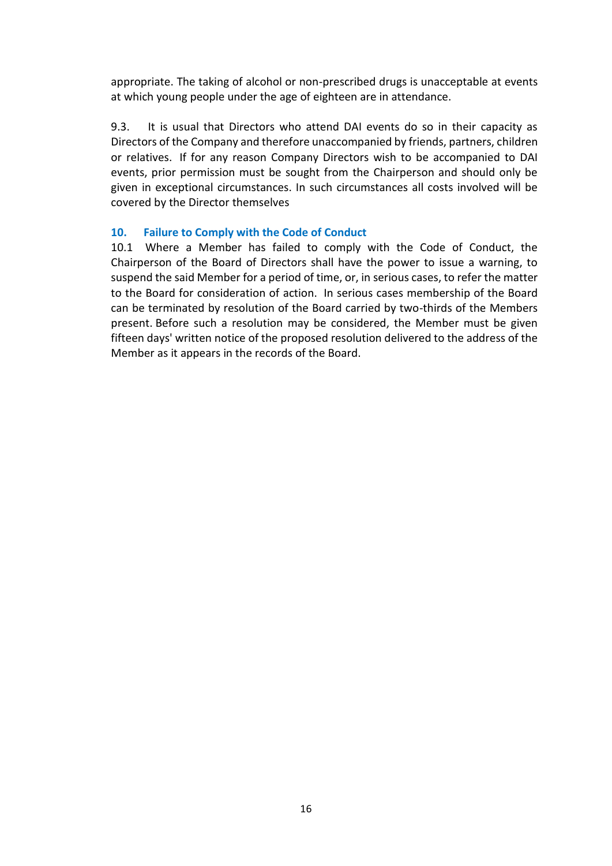appropriate. The taking of alcohol or non-prescribed drugs is unacceptable at events at which young people under the age of eighteen are in attendance.

9.3. It is usual that Directors who attend DAI events do so in their capacity as Directors of the Company and therefore unaccompanied by friends, partners, children or relatives. If for any reason Company Directors wish to be accompanied to DAI events, prior permission must be sought from the Chairperson and should only be given in exceptional circumstances. In such circumstances all costs involved will be covered by the Director themselves

### **10. Failure to Comply with the Code of Conduct**

10.1 Where a Member has failed to comply with the Code of Conduct, the Chairperson of the Board of Directors shall have the power to issue a warning, to suspend the said Member for a period of time, or, in serious cases, to refer the matter to the Board for consideration of action. In serious cases membership of the Board can be terminated by resolution of the Board carried by two-thirds of the Members present. Before such a resolution may be considered, the Member must be given fifteen days' written notice of the proposed resolution delivered to the address of the Member as it appears in the records of the Board.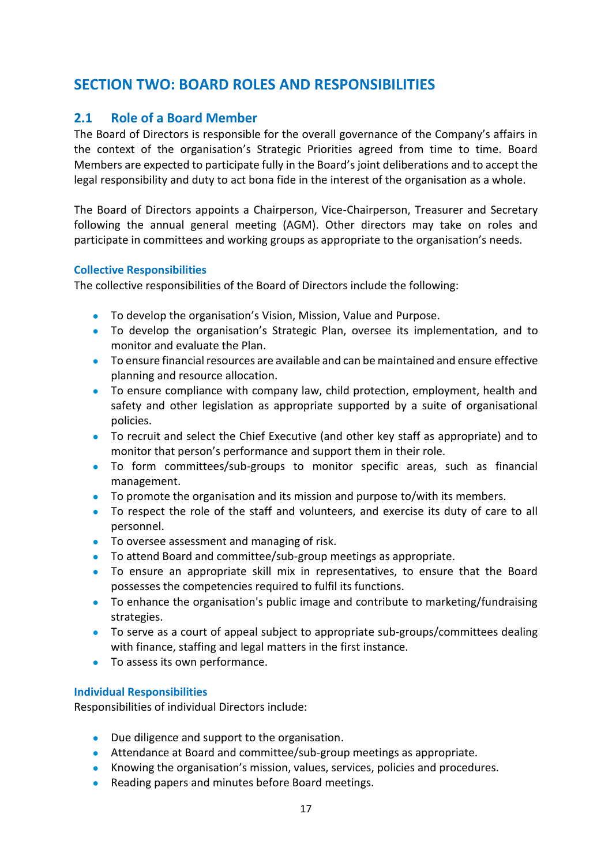# **SECTION TWO: BOARD ROLES AND RESPONSIBILITIES**

# **2.1 Role of a Board Member**

The Board of Directors is responsible for the overall governance of the Company's affairs in the context of the organisation's Strategic Priorities agreed from time to time. Board Members are expected to participate fully in the Board's joint deliberations and to accept the legal responsibility and duty to act bona fide in the interest of the organisation as a whole.

The Board of Directors appoints a Chairperson, Vice-Chairperson, Treasurer and Secretary following the annual general meeting (AGM). Other directors may take on roles and participate in committees and working groups as appropriate to the organisation's needs.

#### **Collective Responsibilities**

The collective responsibilities of the Board of Directors include the following:

- To develop the organisation's Vision, Mission, Value and Purpose.
- To develop the organisation's Strategic Plan, oversee its implementation, and to monitor and evaluate the Plan.
- To ensure financial resources are available and can be maintained and ensure effective planning and resource allocation.
- To ensure compliance with company law, child protection, employment, health and safety and other legislation as appropriate supported by a suite of organisational policies.
- To recruit and select the Chief Executive (and other key staff as appropriate) and to monitor that person's performance and support them in their role.
- To form committees/sub-groups to monitor specific areas, such as financial management.
- To promote the organisation and its mission and purpose to/with its members.
- To respect the role of the staff and volunteers, and exercise its duty of care to all personnel.
- To oversee assessment and managing of risk.
- To attend Board and committee/sub-group meetings as appropriate.
- To ensure an appropriate skill mix in representatives, to ensure that the Board possesses the competencies required to fulfil its functions.
- To enhance the organisation's public image and contribute to marketing/fundraising strategies.
- To serve as a court of appeal subject to appropriate sub-groups/committees dealing with finance, staffing and legal matters in the first instance.
- To assess its own performance.

#### **Individual Responsibilities**

Responsibilities of individual Directors include:

- Due diligence and support to the organisation.
- Attendance at Board and committee/sub-group meetings as appropriate.
- Knowing the organisation's mission, values, services, policies and procedures.
- Reading papers and minutes before Board meetings.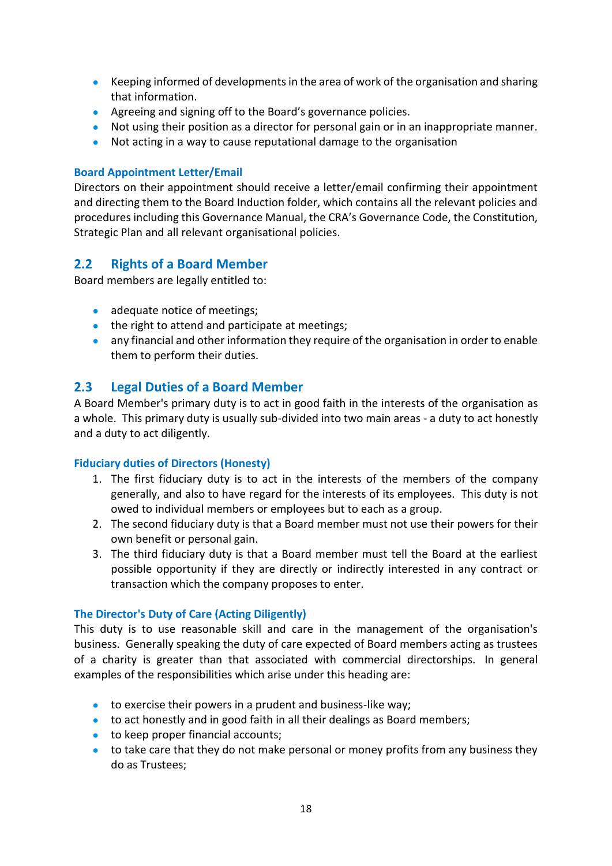- Keeping informed of developments in the area of work of the organisation and sharing that information.
- Agreeing and signing off to the Board's governance policies.
- Not using their position as a director for personal gain or in an inappropriate manner.
- Not acting in a way to cause reputational damage to the organisation

# **Board Appointment Letter/Email**

Directors on their appointment should receive a letter/email confirming their appointment and directing them to the Board Induction folder, which contains all the relevant policies and procedures including this Governance Manual, the CRA's Governance Code, the Constitution, Strategic Plan and all relevant organisational policies.

# **2.2 Rights of a Board Member**

Board members are legally entitled to:

- adequate notice of meetings;
- the right to attend and participate at meetings;
- any financial and other information they require of the organisation in order to enable them to perform their duties.

# **2.3 Legal Duties of a Board Member**

A Board Member's primary duty is to act in good faith in the interests of the organisation as a whole. This primary duty is usually sub-divided into two main areas - a duty to act honestly and a duty to act diligently.

# **Fiduciary duties of Directors (Honesty)**

- 1. The first fiduciary duty is to act in the interests of the members of the company generally, and also to have regard for the interests of its employees. This duty is not owed to individual members or employees but to each as a group.
- 2. The second fiduciary duty is that a Board member must not use their powers for their own benefit or personal gain.
- 3. The third fiduciary duty is that a Board member must tell the Board at the earliest possible opportunity if they are directly or indirectly interested in any contract or transaction which the company proposes to enter.

#### **The Director's Duty of Care (Acting Diligently)**

This duty is to use reasonable skill and care in the management of the organisation's business. Generally speaking the duty of care expected of Board members acting as trustees of a charity is greater than that associated with commercial directorships. In general examples of the responsibilities which arise under this heading are:

- to exercise their powers in a prudent and business-like way;
- to act honestly and in good faith in all their dealings as Board members;
- to keep proper financial accounts;
- to take care that they do not make personal or money profits from any business they do as Trustees;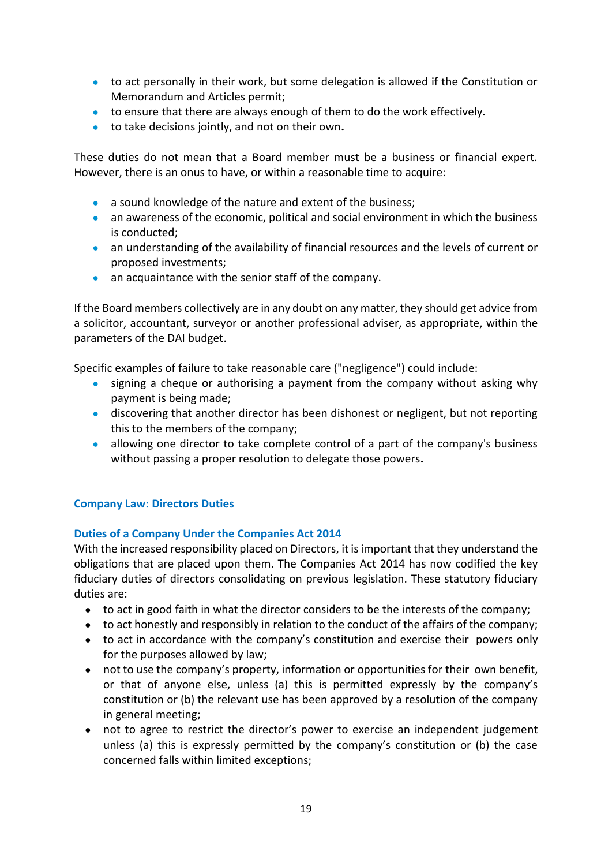- to act personally in their work, but some delegation is allowed if the Constitution or Memorandum and Articles permit;
- to ensure that there are always enough of them to do the work effectively.
- to take decisions jointly, and not on their own**.**

These duties do not mean that a Board member must be a business or financial expert. However, there is an onus to have, or within a reasonable time to acquire:

- a sound knowledge of the nature and extent of the business;
- an awareness of the economic, political and social environment in which the business is conducted;
- an understanding of the availability of financial resources and the levels of current or proposed investments;
- an acquaintance with the senior staff of the company.

If the Board members collectively are in any doubt on any matter, they should get advice from a solicitor, accountant, surveyor or another professional adviser, as appropriate, within the parameters of the DAI budget.

Specific examples of failure to take reasonable care ("negligence") could include:

- signing a cheque or authorising a payment from the company without asking why payment is being made;
- discovering that another director has been dishonest or negligent, but not reporting this to the members of the company;
- allowing one director to take complete control of a part of the company's business without passing a proper resolution to delegate those powers**.**

# **Company Law: Directors Duties**

#### **Duties of a Company Under the Companies Act 2014**

With the increased responsibility placed on Directors, it is important that they understand the obligations that are placed upon them. The Companies Act 2014 has now codified the key fiduciary duties of directors consolidating on previous legislation. These statutory fiduciary duties are:

- to act in good faith in what the director considers to be the interests of the company;
- to act honestly and responsibly in relation to the conduct of the affairs of the company;
- to act in accordance with the company's constitution and exercise their powers only for the purposes allowed by law;
- not to use the company's property, information or opportunities for their own benefit, or that of anyone else, unless (a) this is permitted expressly by the company's constitution or (b) the relevant use has been approved by a resolution of the company in general meeting;
- not to agree to restrict the director's power to exercise an independent judgement unless (a) this is expressly permitted by the company's constitution or (b) the case concerned falls within limited exceptions;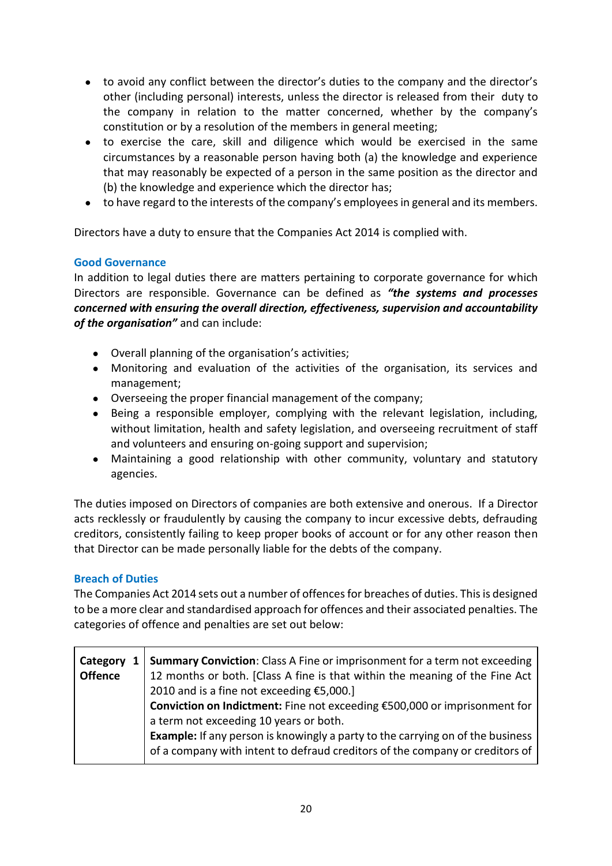- to avoid any conflict between the director's duties to the company and the director's other (including personal) interests, unless the director is released from their duty to the company in relation to the matter concerned, whether by the company's constitution or by a resolution of the members in general meeting;
- to exercise the care, skill and diligence which would be exercised in the same circumstances by a reasonable person having both (a) the knowledge and experience that may reasonably be expected of a person in the same position as the director and (b) the knowledge and experience which the director has;
- to have regard to the interests of the company's employees in general and its members.

Directors have a duty to ensure that the Companies Act 2014 is complied with.

### **Good Governance**

In addition to legal duties there are matters pertaining to corporate governance for which Directors are responsible. Governance can be defined as *"the systems and processes concerned with ensuring the overall direction, effectiveness, supervision and accountability of the organisation"* and can include:

- Overall planning of the organisation's activities;
- Monitoring and evaluation of the activities of the organisation, its services and management;
- Overseeing the proper financial management of the company;
- Being a responsible employer, complying with the relevant legislation, including, without limitation, health and safety legislation, and overseeing recruitment of staff and volunteers and ensuring on-going support and supervision;
- Maintaining a good relationship with other community, voluntary and statutory agencies.

The duties imposed on Directors of companies are both extensive and onerous. If a Director acts recklessly or fraudulently by causing the company to incur excessive debts, defrauding creditors, consistently failing to keep proper books of account or for any other reason then that Director can be made personally liable for the debts of the company.

# **Breach of Duties**

The Companies Act 2014 sets out a number of offences for breaches of duties. This is designed to be a more clear and standardised approach for offences and their associated penalties. The categories of offence and penalties are set out below:

| Category<br>1  | Summary Conviction: Class A Fine or imprisonment for a term not exceeding             |
|----------------|---------------------------------------------------------------------------------------|
| <b>Offence</b> | 12 months or both. [Class A fine is that within the meaning of the Fine Act           |
|                | 2010 and is a fine not exceeding €5,000.]                                             |
|                | Conviction on Indictment: Fine not exceeding €500,000 or imprisonment for             |
|                | a term not exceeding 10 years or both.                                                |
|                | <b>Example:</b> If any person is knowingly a party to the carrying on of the business |
|                | of a company with intent to defraud creditors of the company or creditors of          |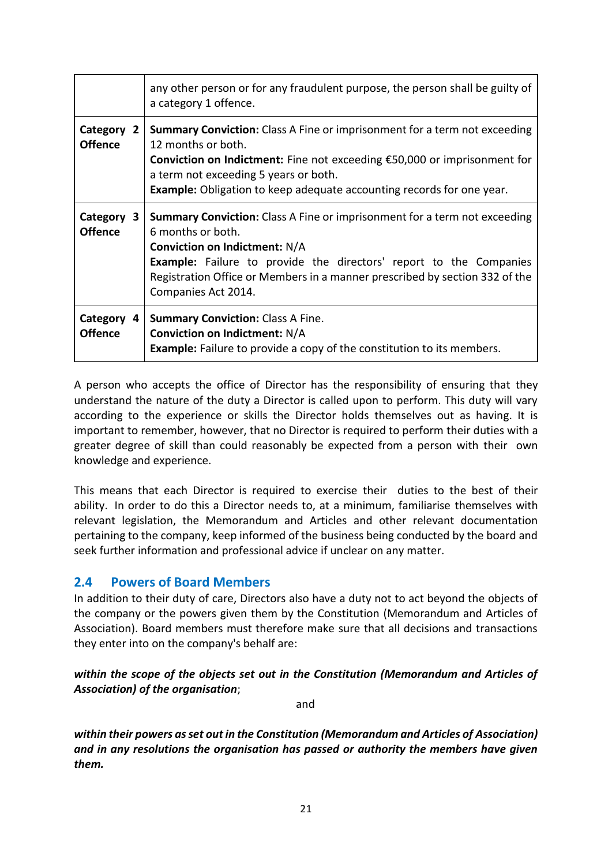|                              | any other person or for any fraudulent purpose, the person shall be guilty of<br>a category 1 offence.                                                                                                                                                                                                                           |
|------------------------------|----------------------------------------------------------------------------------------------------------------------------------------------------------------------------------------------------------------------------------------------------------------------------------------------------------------------------------|
| Category 2<br><b>Offence</b> | <b>Summary Conviction:</b> Class A Fine or imprisonment for a term not exceeding<br>12 months or both.<br>Conviction on Indictment: Fine not exceeding €50,000 or imprisonment for<br>a term not exceeding 5 years or both.<br><b>Example:</b> Obligation to keep adequate accounting records for one year.                      |
| Category 3<br><b>Offence</b> | <b>Summary Conviction:</b> Class A Fine or imprisonment for a term not exceeding<br>6 months or both.<br><b>Conviction on Indictment: N/A</b><br><b>Example:</b> Failure to provide the directors' report to the Companies<br>Registration Office or Members in a manner prescribed by section 332 of the<br>Companies Act 2014. |
| Category 4<br><b>Offence</b> | <b>Summary Conviction: Class A Fine.</b><br><b>Conviction on Indictment: N/A</b><br><b>Example:</b> Failure to provide a copy of the constitution to its members.                                                                                                                                                                |

A person who accepts the office of Director has the responsibility of ensuring that they understand the nature of the duty a Director is called upon to perform. This duty will vary according to the experience or skills the Director holds themselves out as having. It is important to remember, however, that no Director is required to perform their duties with a greater degree of skill than could reasonably be expected from a person with their own knowledge and experience.

This means that each Director is required to exercise their duties to the best of their ability. In order to do this a Director needs to, at a minimum, familiarise themselves with relevant legislation, the Memorandum and Articles and other relevant documentation pertaining to the company, keep informed of the business being conducted by the board and seek further information and professional advice if unclear on any matter.

# **2.4 Powers of Board Members**

In addition to their duty of care, Directors also have a duty not to act beyond the objects of the company or the powers given them by the Constitution (Memorandum and Articles of Association). Board members must therefore make sure that all decisions and transactions they enter into on the company's behalf are:

*within the scope of the objects set out in the Constitution (Memorandum and Articles of Association) of the organisation*;

and

*within their powers as set out in the Constitution (Memorandum and Articles of Association) and in any resolutions the organisation has passed or authority the members have given them.*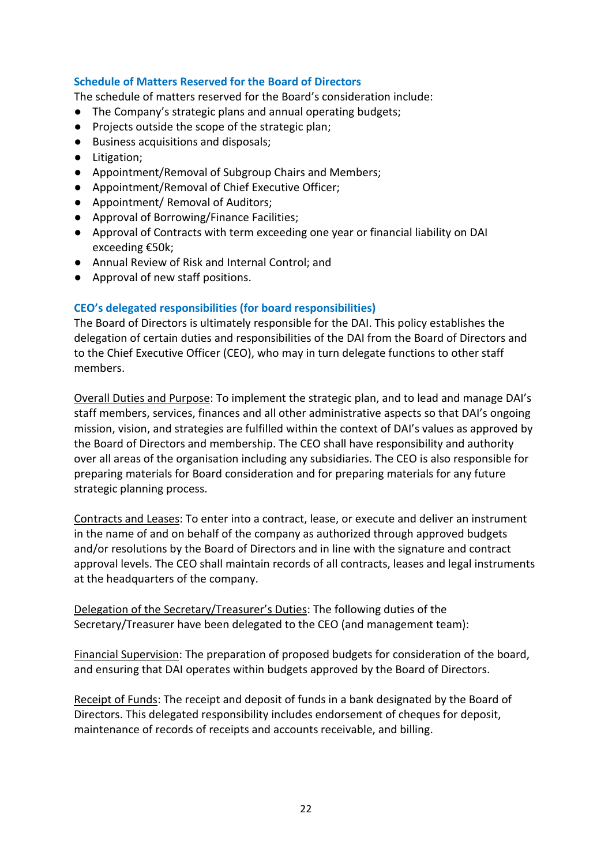### **Schedule of Matters Reserved for the Board of Directors**

The schedule of matters reserved for the Board's consideration include:

- The Company's strategic plans and annual operating budgets;
- Projects outside the scope of the strategic plan;
- Business acquisitions and disposals;
- Litigation;
- Appointment/Removal of Subgroup Chairs and Members;
- Appointment/Removal of Chief Executive Officer;
- Appointment/ Removal of Auditors;
- Approval of Borrowing/Finance Facilities;
- Approval of Contracts with term exceeding one year or financial liability on DAI exceeding €50k;
- Annual Review of Risk and Internal Control; and
- Approval of new staff positions.

### **CEO's delegated responsibilities (for board responsibilities)**

The Board of Directors is ultimately responsible for the DAI. This policy establishes the delegation of certain duties and responsibilities of the DAI from the Board of Directors and to the Chief Executive Officer (CEO), who may in turn delegate functions to other staff members.

Overall Duties and Purpose: To implement the strategic plan, and to lead and manage DAI's staff members, services, finances and all other administrative aspects so that DAI's ongoing mission, vision, and strategies are fulfilled within the context of DAI's values as approved by the Board of Directors and membership. The CEO shall have responsibility and authority over all areas of the organisation including any subsidiaries. The CEO is also responsible for preparing materials for Board consideration and for preparing materials for any future strategic planning process.

Contracts and Leases: To enter into a contract, lease, or execute and deliver an instrument in the name of and on behalf of the company as authorized through approved budgets and/or resolutions by the Board of Directors and in line with the signature and contract approval levels. The CEO shall maintain records of all contracts, leases and legal instruments at the headquarters of the company.

Delegation of the Secretary/Treasurer's Duties: The following duties of the Secretary/Treasurer have been delegated to the CEO (and management team):

Financial Supervision: The preparation of proposed budgets for consideration of the board, and ensuring that DAI operates within budgets approved by the Board of Directors.

Receipt of Funds: The receipt and deposit of funds in a bank designated by the Board of Directors. This delegated responsibility includes endorsement of cheques for deposit, maintenance of records of receipts and accounts receivable, and billing.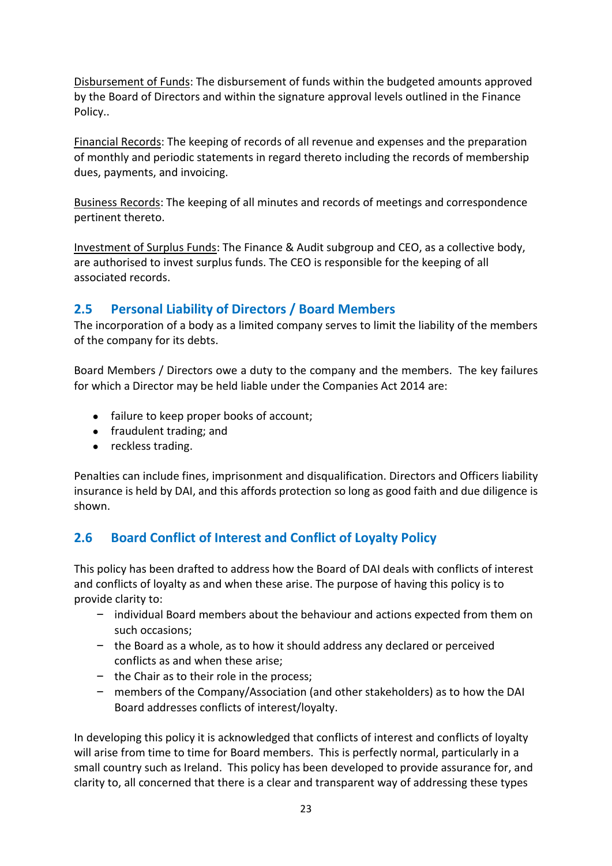Disbursement of Funds: The disbursement of funds within the budgeted amounts approved by the Board of Directors and within the signature approval levels outlined in the Finance Policy..

Financial Records: The keeping of records of all revenue and expenses and the preparation of monthly and periodic statements in regard thereto including the records of membership dues, payments, and invoicing.

Business Records: The keeping of all minutes and records of meetings and correspondence pertinent thereto.

Investment of Surplus Funds: The Finance & Audit subgroup and CEO, as a collective body, are authorised to invest surplus funds. The CEO is responsible for the keeping of all associated records.

# **2.5 Personal Liability of Directors / Board Members**

The incorporation of a body as a limited company serves to limit the liability of the members of the company for its debts.

Board Members / Directors owe a duty to the company and the members. The key failures for which a Director may be held liable under the Companies Act 2014 are:

- failure to keep proper books of account;
- fraudulent trading; and
- reckless trading.

Penalties can include fines, imprisonment and disqualification. Directors and Officers liability insurance is held by DAI, and this affords protection so long as good faith and due diligence is shown.

# **2.6 Board Conflict of Interest and Conflict of Loyalty Policy**

This policy has been drafted to address how the Board of DAI deals with conflicts of interest and conflicts of loyalty as and when these arise. The purpose of having this policy is to provide clarity to:

- individual Board members about the behaviour and actions expected from them on such occasions;
- the Board as a whole, as to how it should address any declared or perceived conflicts as and when these arise;
- the Chair as to their role in the process;
- members of the Company/Association (and other stakeholders) as to how the DAI Board addresses conflicts of interest/loyalty.

In developing this policy it is acknowledged that conflicts of interest and conflicts of loyalty will arise from time to time for Board members. This is perfectly normal, particularly in a small country such as Ireland. This policy has been developed to provide assurance for, and clarity to, all concerned that there is a clear and transparent way of addressing these types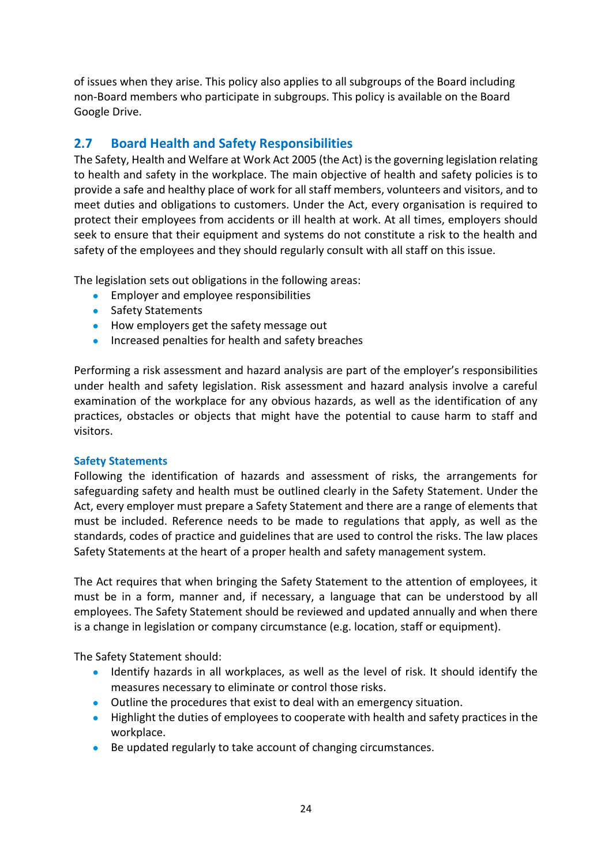of issues when they arise. This policy also applies to all subgroups of the Board including non-Board members who participate in subgroups. This policy is available on the Board Google Drive.

# **2.7 Board Health and Safety Responsibilities**

The Safety, Health and Welfare at Work Act 2005 (the Act) is the governing legislation relating to health and safety in the workplace. The main objective of health and safety policies is to provide a safe and healthy place of work for all staff members, volunteers and visitors, and to meet duties and obligations to customers. Under the Act, every organisation is required to protect their employees from accidents or ill health at work. At all times, employers should seek to ensure that their equipment and systems do not constitute a risk to the health and safety of the employees and they should regularly consult with all staff on this issue.

The legislation sets out obligations in the following areas:

- **•** Employer and employee responsibilities
- Safety Statements
- How employers get the safety message out
- Increased penalties for health and safety breaches

Performing a risk assessment and hazard analysis are part of the employer's responsibilities under health and safety legislation. Risk assessment and hazard analysis involve a careful examination of the workplace for any obvious hazards, as well as the identification of any practices, obstacles or objects that might have the potential to cause harm to staff and visitors.

# **Safety Statements**

Following the identification of hazards and assessment of risks, the arrangements for safeguarding safety and health must be outlined clearly in the Safety Statement. Under the Act, every employer must prepare a Safety Statement and there are a range of elements that must be included. Reference needs to be made to regulations that apply, as well as the standards, codes of practice and guidelines that are used to control the risks. The law places Safety Statements at the heart of a proper health and safety management system.

The Act requires that when bringing the Safety Statement to the attention of employees, it must be in a form, manner and, if necessary, a language that can be understood by all employees. The Safety Statement should be reviewed and updated annually and when there is a change in legislation or company circumstance (e.g. location, staff or equipment).

The Safety Statement should:

- Identify hazards in all workplaces, as well as the level of risk. It should identify the measures necessary to eliminate or control those risks.
- Outline the procedures that exist to deal with an emergency situation.
- Highlight the duties of employees to cooperate with health and safety practices in the workplace.
- Be updated regularly to take account of changing circumstances.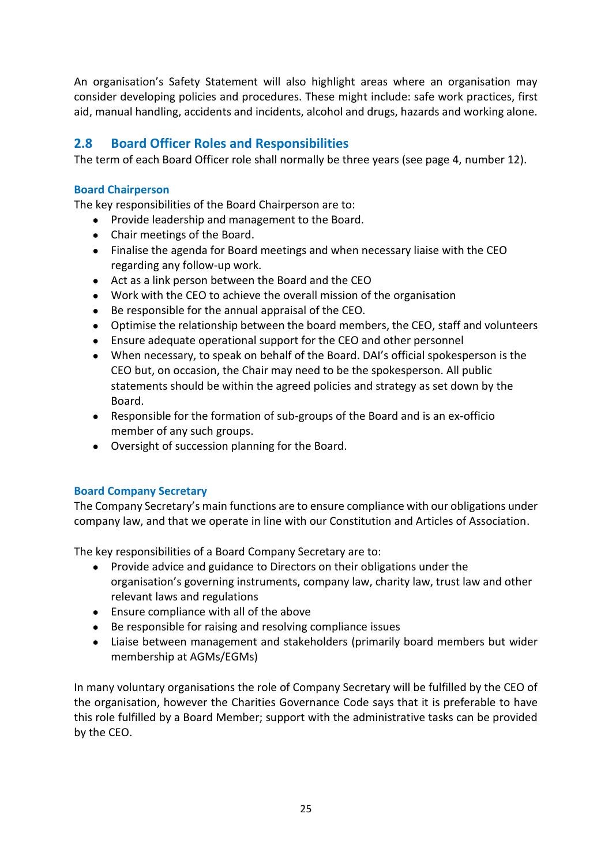An organisation's Safety Statement will also highlight areas where an organisation may consider developing policies and procedures. These might include: safe work practices, first aid, manual handling, accidents and incidents, alcohol and drugs, hazards and working alone.

# **2.8 Board Officer Roles and Responsibilities**

The term of each Board Officer role shall normally be three years (see page 4, number 12).

# **Board Chairperson**

The key responsibilities of the Board Chairperson are to:

- Provide leadership and management to the Board.
- Chair meetings of the Board.
- Finalise the agenda for Board meetings and when necessary liaise with the CEO regarding any follow-up work.
- Act as a link person between the Board and the CEO
- Work with the CEO to achieve the overall mission of the organisation
- Be responsible for the annual appraisal of the CEO.
- Optimise the relationship between the board members, the CEO, staff and volunteers
- Ensure adequate operational support for the CEO and other personnel
- When necessary, to speak on behalf of the Board. DAI's official spokesperson is the CEO but, on occasion, the Chair may need to be the spokesperson. All public statements should be within the agreed policies and strategy as set down by the Board.
- Responsible for the formation of sub-groups of the Board and is an ex-officio member of any such groups.
- Oversight of succession planning for the Board.

#### **Board Company Secretary**

The Company Secretary's main functions are to ensure compliance with our obligations under company law, and that we operate in line with our Constitution and Articles of Association.

The key responsibilities of a Board Company Secretary are to:

- Provide advice and guidance to Directors on their obligations under the organisation's governing instruments, company law, charity law, trust law and other relevant laws and regulations
- Ensure compliance with all of the above
- Be responsible for raising and resolving compliance issues
- Liaise between management and stakeholders (primarily board members but wider membership at AGMs/EGMs)

In many voluntary organisations the role of Company Secretary will be fulfilled by the CEO of the organisation, however the Charities Governance Code says that it is preferable to have this role fulfilled by a Board Member; support with the administrative tasks can be provided by the CEO.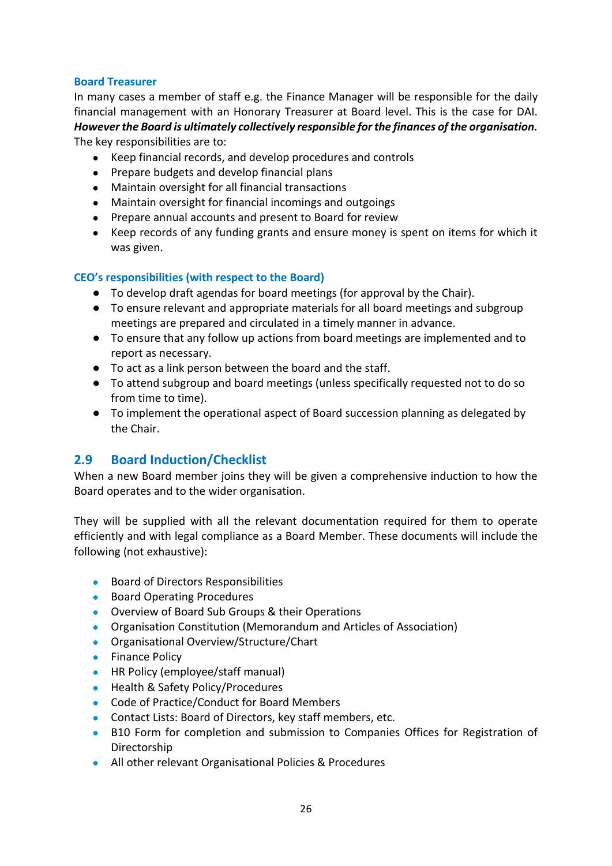### **Board Treasurer**

In many cases a member of staff e.g. the Finance Manager will be responsible for the daily financial management with an Honorary Treasurer at Board level. This is the case for DAI. *However the Board is ultimately collectively responsible for the finances of the organisation.* The key responsibilities are to:

- Keep financial records, and develop procedures and controls
- Prepare budgets and develop financial plans
- Maintain oversight for all financial transactions
- Maintain oversight for financial incomings and outgoings
- Prepare annual accounts and present to Board for review
- Keep records of any funding grants and ensure money is spent on items for which it was given.

### **CEO's responsibilities (with respect to the Board)**

- To develop draft agendas for board meetings (for approval by the Chair).
- To ensure relevant and appropriate materials for all board meetings and subgroup meetings are prepared and circulated in a timely manner in advance.
- To ensure that any follow up actions from board meetings are implemented and to report as necessary.
- To act as a link person between the board and the staff.
- To attend subgroup and board meetings (unless specifically requested not to do so from time to time).
- To implement the operational aspect of Board succession planning as delegated by the Chair.

# **2.9 Board Induction/Checklist**

When a new Board member joins they will be given a comprehensive induction to how the Board operates and to the wider organisation.

They will be supplied with all the relevant documentation required for them to operate efficiently and with legal compliance as a Board Member. These documents will include the following (not exhaustive):

- Board of Directors Responsibilities
- Board Operating Procedures
- Overview of Board Sub Groups & their Operations
- Organisation Constitution (Memorandum and Articles of Association)
- Organisational Overview/Structure/Chart
- Finance Policy
- HR Policy (employee/staff manual)
- Health & Safety Policy/Procedures
- Code of Practice/Conduct for Board Members
- Contact Lists: Board of Directors, key staff members, etc.
- B10 Form for completion and submission to Companies Offices for Registration of Directorship
- All other relevant Organisational Policies & Procedures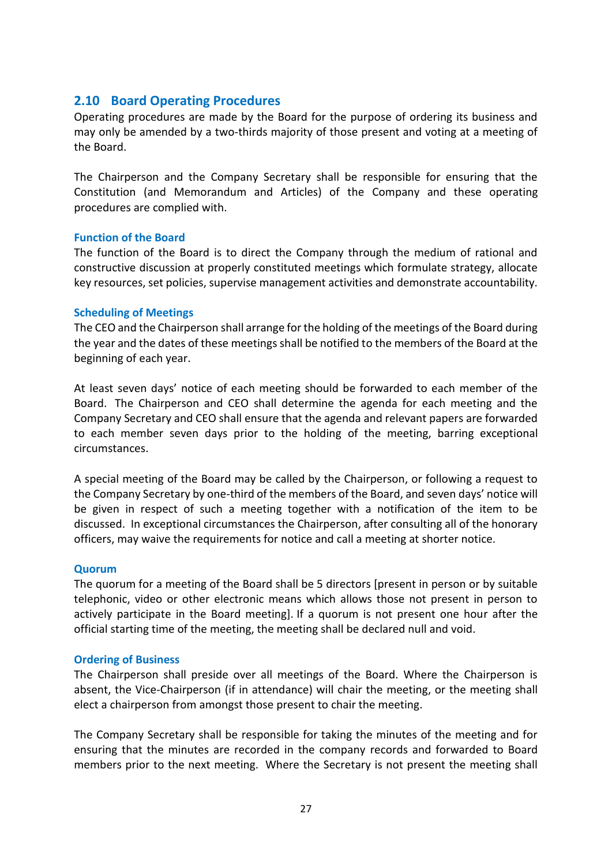# **2.10 Board Operating Procedures**

Operating procedures are made by the Board for the purpose of ordering its business and may only be amended by a two-thirds majority of those present and voting at a meeting of the Board.

The Chairperson and the Company Secretary shall be responsible for ensuring that the Constitution (and Memorandum and Articles) of the Company and these operating procedures are complied with.

### **Function of the Board**

The function of the Board is to direct the Company through the medium of rational and constructive discussion at properly constituted meetings which formulate strategy, allocate key resources, set policies, supervise management activities and demonstrate accountability.

#### **Scheduling of Meetings**

The CEO and the Chairperson shall arrange for the holding of the meetings of the Board during the year and the dates of these meetings shall be notified to the members of the Board at the beginning of each year.

At least seven days' notice of each meeting should be forwarded to each member of the Board. The Chairperson and CEO shall determine the agenda for each meeting and the Company Secretary and CEO shall ensure that the agenda and relevant papers are forwarded to each member seven days prior to the holding of the meeting, barring exceptional circumstances.

A special meeting of the Board may be called by the Chairperson, or following a request to the Company Secretary by one-third of the members of the Board, and seven days' notice will be given in respect of such a meeting together with a notification of the item to be discussed. In exceptional circumstances the Chairperson, after consulting all of the honorary officers, may waive the requirements for notice and call a meeting at shorter notice.

#### **Quorum**

The quorum for a meeting of the Board shall be 5 directors [present in person or by suitable telephonic, video or other electronic means which allows those not present in person to actively participate in the Board meeting]. If a quorum is not present one hour after the official starting time of the meeting, the meeting shall be declared null and void.

# **Ordering of Business**

The Chairperson shall preside over all meetings of the Board. Where the Chairperson is absent, the Vice-Chairperson (if in attendance) will chair the meeting, or the meeting shall elect a chairperson from amongst those present to chair the meeting.

The Company Secretary shall be responsible for taking the minutes of the meeting and for ensuring that the minutes are recorded in the company records and forwarded to Board members prior to the next meeting. Where the Secretary is not present the meeting shall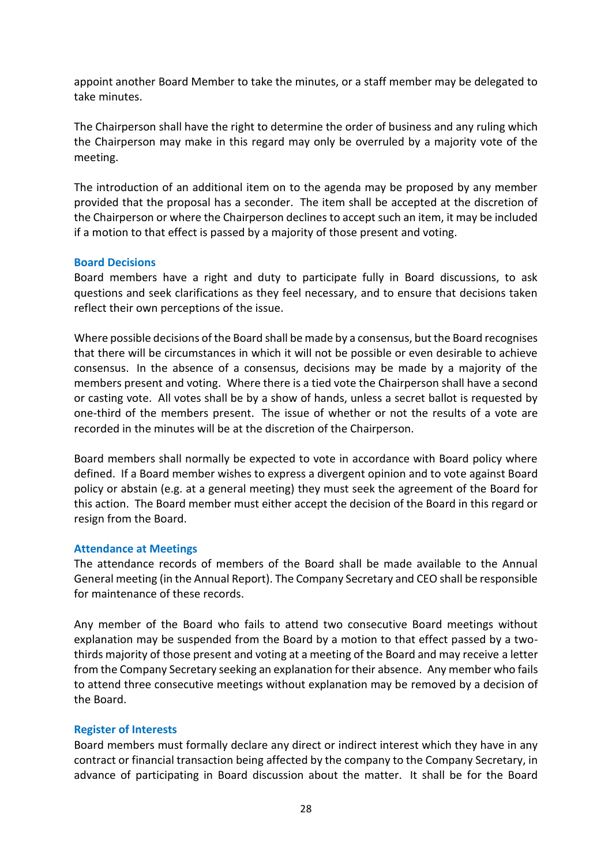appoint another Board Member to take the minutes, or a staff member may be delegated to take minutes.

The Chairperson shall have the right to determine the order of business and any ruling which the Chairperson may make in this regard may only be overruled by a majority vote of the meeting.

The introduction of an additional item on to the agenda may be proposed by any member provided that the proposal has a seconder. The item shall be accepted at the discretion of the Chairperson or where the Chairperson declines to accept such an item, it may be included if a motion to that effect is passed by a majority of those present and voting.

#### **Board Decisions**

Board members have a right and duty to participate fully in Board discussions, to ask questions and seek clarifications as they feel necessary, and to ensure that decisions taken reflect their own perceptions of the issue.

Where possible decisions of the Board shall be made by a consensus, but the Board recognises that there will be circumstances in which it will not be possible or even desirable to achieve consensus. In the absence of a consensus, decisions may be made by a majority of the members present and voting. Where there is a tied vote the Chairperson shall have a second or casting vote. All votes shall be by a show of hands, unless a secret ballot is requested by one-third of the members present. The issue of whether or not the results of a vote are recorded in the minutes will be at the discretion of the Chairperson.

Board members shall normally be expected to vote in accordance with Board policy where defined. If a Board member wishes to express a divergent opinion and to vote against Board policy or abstain (e.g. at a general meeting) they must seek the agreement of the Board for this action. The Board member must either accept the decision of the Board in this regard or resign from the Board.

#### **Attendance at Meetings**

The attendance records of members of the Board shall be made available to the Annual General meeting (in the Annual Report). The Company Secretary and CEO shall be responsible for maintenance of these records.

Any member of the Board who fails to attend two consecutive Board meetings without explanation may be suspended from the Board by a motion to that effect passed by a twothirds majority of those present and voting at a meeting of the Board and may receive a letter from the Company Secretary seeking an explanation for their absence. Any member who fails to attend three consecutive meetings without explanation may be removed by a decision of the Board.

# **Register of Interests**

Board members must formally declare any direct or indirect interest which they have in any contract or financial transaction being affected by the company to the Company Secretary, in advance of participating in Board discussion about the matter. It shall be for the Board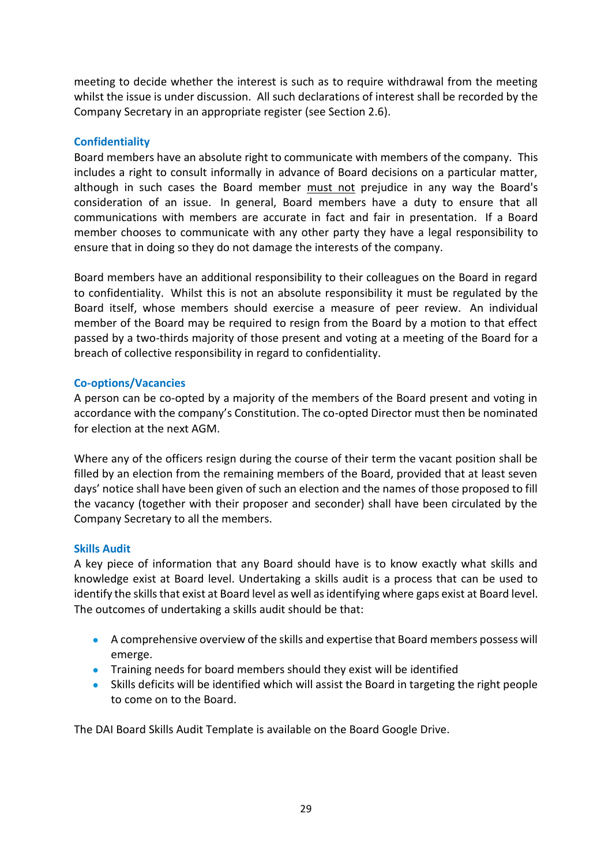meeting to decide whether the interest is such as to require withdrawal from the meeting whilst the issue is under discussion. All such declarations of interest shall be recorded by the Company Secretary in an appropriate register (see Section 2.6).

### **Confidentiality**

Board members have an absolute right to communicate with members of the company. This includes a right to consult informally in advance of Board decisions on a particular matter, although in such cases the Board member must not prejudice in any way the Board's consideration of an issue. In general, Board members have a duty to ensure that all communications with members are accurate in fact and fair in presentation. If a Board member chooses to communicate with any other party they have a legal responsibility to ensure that in doing so they do not damage the interests of the company.

Board members have an additional responsibility to their colleagues on the Board in regard to confidentiality. Whilst this is not an absolute responsibility it must be regulated by the Board itself, whose members should exercise a measure of peer review. An individual member of the Board may be required to resign from the Board by a motion to that effect passed by a two-thirds majority of those present and voting at a meeting of the Board for a breach of collective responsibility in regard to confidentiality.

#### **Co-options/Vacancies**

A person can be co-opted by a majority of the members of the Board present and voting in accordance with the company's Constitution. The co-opted Director must then be nominated for election at the next AGM.

Where any of the officers resign during the course of their term the vacant position shall be filled by an election from the remaining members of the Board, provided that at least seven days' notice shall have been given of such an election and the names of those proposed to fill the vacancy (together with their proposer and seconder) shall have been circulated by the Company Secretary to all the members.

#### **Skills Audit**

A key piece of information that any Board should have is to know exactly what skills and knowledge exist at Board level. Undertaking a skills audit is a process that can be used to identify the skills that exist at Board level as well as identifying where gaps exist at Board level. The outcomes of undertaking a skills audit should be that:

- A comprehensive overview of the skills and expertise that Board members possess will emerge.
- Training needs for board members should they exist will be identified
- Skills deficits will be identified which will assist the Board in targeting the right people to come on to the Board.

The DAI Board Skills Audit Template is available on the Board Google Drive.